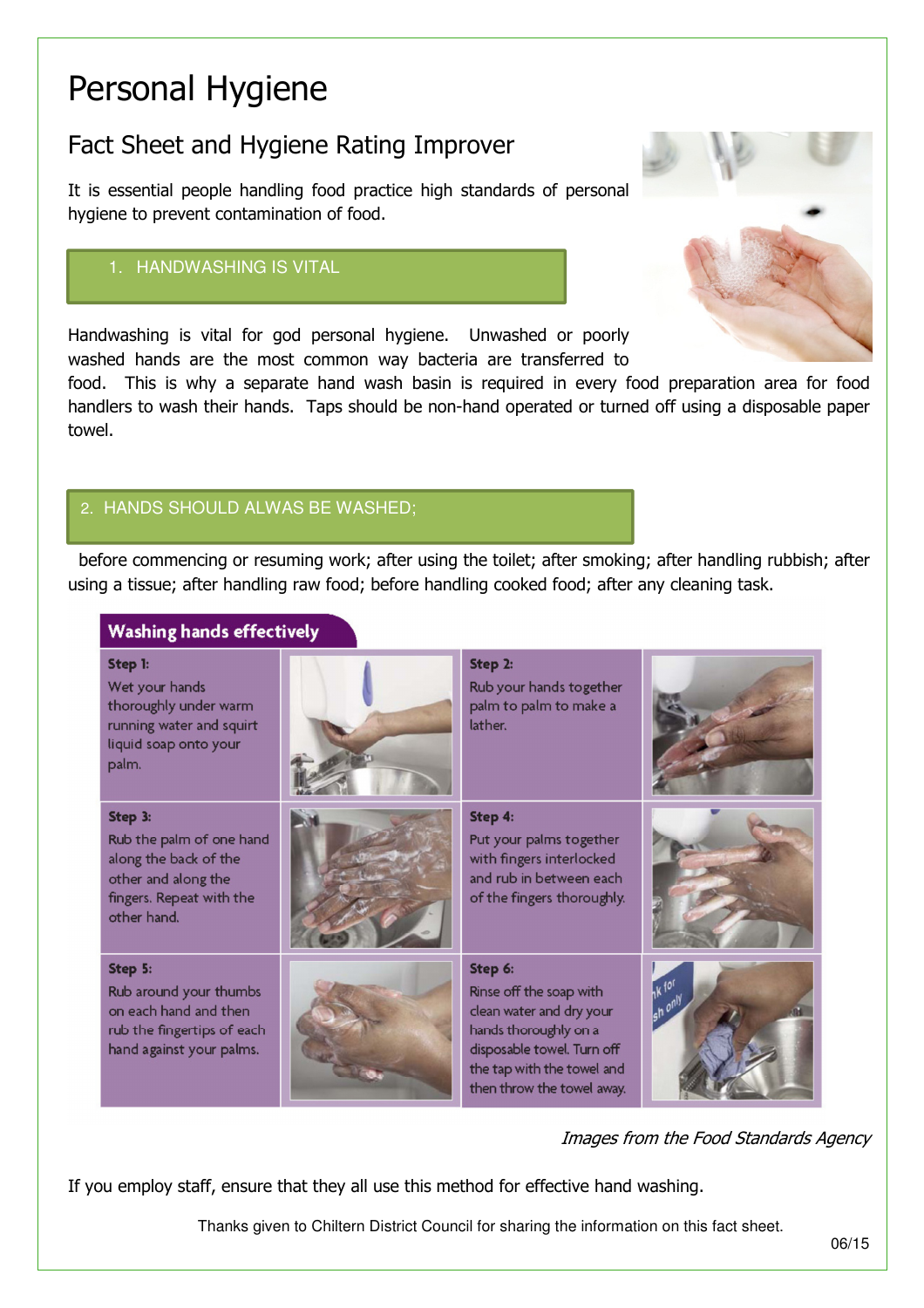# Personal Hygiene

# Fact Sheet and Hygiene Rating Improver

It is essential people handling food practice high standards of personal hygiene to prevent contamination of food.

# 1. HANDWASHING IS VITAL

Handwashing is vital for god personal hygiene. Unwashed or poorly washed hands are the most common way bacteria are transferred to

food. This is why a separate hand wash basin is required in every food preparation area for food handlers to wash their hands. Taps should be non-hand operated or turned off using a disposable paper towel.

## 2. HANDS SHOULD ALWAS BE WASHED;

 before commencing or resuming work; after using the toilet; after smoking; after handling rubbish; after using a tissue; after handling raw food; before handling cooked food; after any cleaning task.

| <b>Washing hands effectively</b>                                                                                               |  |                                                                                                                                                                                   |                          |  |
|--------------------------------------------------------------------------------------------------------------------------------|--|-----------------------------------------------------------------------------------------------------------------------------------------------------------------------------------|--------------------------|--|
| Step 1:<br>Wet your hands<br>thoroughly under warm<br>running water and squirt<br>liquid soap onto your<br>palm.               |  | Step 2:<br>Rub your hands together<br>palm to palm to make a<br>lather.                                                                                                           |                          |  |
| Step 3:<br>Rub the palm of one hand<br>along the back of the<br>other and along the<br>fingers. Repeat with the<br>other hand. |  | Step 4:<br>Put your palms together<br>with fingers interlocked<br>and rub in between each<br>of the fingers thoroughly.                                                           |                          |  |
| Step 5:<br>Rub around your thumbs<br>on each hand and then<br>rub the fingertips of each<br>hand against your palms.           |  | Step 6:<br>Rinse off the soap with<br>clean water and dry your<br>hands thoroughly on a<br>disposable towel. Turn off<br>the tap with the towel and<br>then throw the towel away. | <b>HK 101</b><br>sh only |  |

#### Images from the Food Standards Agency

If you employ staff, ensure that they all use this method for effective hand washing.

Thanks given to Chiltern District Council for sharing the information on this fact sheet.